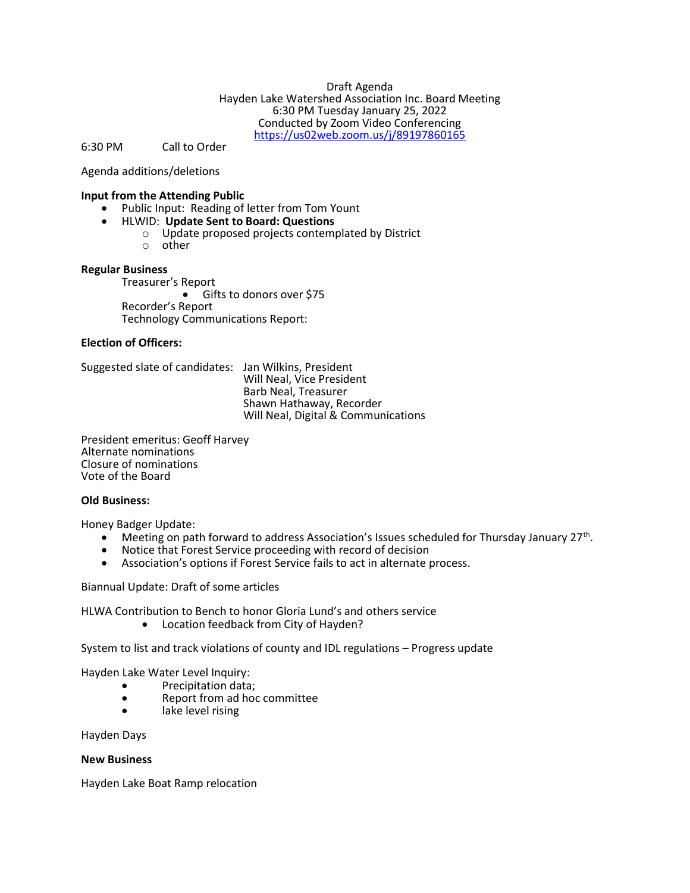Draft Agenda Hayden Lake Watershed Association Inc. Board Meeting 6:30 PM Tuesday January 25, 2022 Conducted by Zoom Video Conferencing https://us02web.zoom.us/j/89197860165

6:30 PM Call to Order

Agenda additions/deletions

# Input from the Attending Public

- Public Input: Reading of letter from Tom Yount
	- HLWID: Update Sent to Board: Questions<br>O Update proposed projects contemi
		- Update proposed projects contemplated by District
		- o other

# Regular Business

Treasurer's Report Gifts to donors over \$75 Recorder's Report Technology Communications Report:

# Election of Officers:

Suggested slate of candidates: Jan Wilkins, President Will Neal, Vice President Barb Neal, Treasurer Shawn Hathaway, Recorder Will Neal, Digital & Communications

President emeritus: Geoff Harvey Alternate nominations Closure of nominations Vote of the Board

#### Old Business:

Honey Badger Update:

- $\bullet$  Meeting on path forward to address Association's Issues scheduled for Thursday January 27<sup>th</sup>.
- Notice that Forest Service proceeding with record of decision
- Association's options if Forest Service fails to act in alternate process.

Biannual Update: Draft of some articles

HLWA Contribution to Bench to honor Gloria Lund's and others service

Location feedback from City of Hayden?

System to list and track violations of county and IDL regulations – Progress update

- Hayden Lake Water Level Inquiry:
	- Precipitation data:
		- Report from ad hoc committee
		- lake level rising

Hayden Days

# New Business

Hayden Lake Boat Ramp relocation